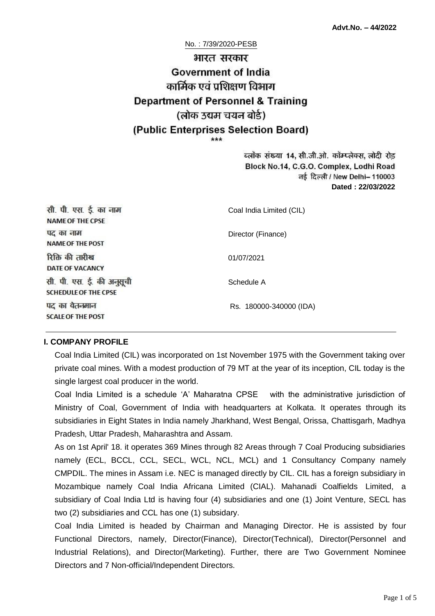# No. : 7/39/2020-PESB भारत सरकार **Government of India** कार्मिक एवं प्रशिक्षण विभाग **Department of Personnel & Training** (लोक उद्यम चयन बोर्ड) (Public Enterprises Selection Board)

ब्लॉक संख्या 14, सी.जी.ओ. कॉम्प्लेक्स, लोदी रोड Block No.14, C.G.O. Complex, Lodhi Road ਰई दिल्ली / New Delhi- 110003 **Dated : 22/03/2022**

| सी. पी. एस. ई. का नाम<br><b>NAME OF THE CPSE</b>         | Coal India Limited (CIL) |
|----------------------------------------------------------|--------------------------|
| पद का नाम<br><b>NAME OF THE POST</b>                     | Director (Finance)       |
| रिक्ति की तारीख<br>DATE OF VACANCY                       | 01/07/2021               |
| सी. पी. एस. ई. की अनुसूची<br><b>SCHEDULE OF THE CPSE</b> | Schedule A               |
| पद का वैतनमान<br><b>SCALE OF THE POST</b>                | Rs. 180000-340000 (IDA)  |

### **I. COMPANY PROFILE**

Coal India Limited (CIL) was incorporated on 1st November 1975 with the Government taking over private coal mines. With a modest production of 79 MT at the year of its inception, CIL today is the single largest coal producer in the world.

Coal India Limited is a schedule 'A' Maharatna CPSE with the administrative jurisdiction of Ministry of Coal, Government of India with headquarters at Kolkata. It operates through its subsidiaries in Eight States in India namely Jharkhand, West Bengal, Orissa, Chattisgarh, Madhya Pradesh, Uttar Pradesh, Maharashtra and Assam.

As on 1st April' 18. it operates 369 Mines through 82 Areas through 7 Coal Producing subsidiaries namely (ECL, BCCL, CCL, SECL, WCL, NCL, MCL) and 1 Consultancy Company namely CMPDIL. The mines in Assam i.e. NEC is managed directly by CIL. CIL has a foreign subsidiary in Mozambique namely Coal India Africana Limited (CIAL). Mahanadi Coalfields Limited, a subsidiary of Coal India Ltd is having four (4) subsidiaries and one (1) Joint Venture, SECL has two (2) subsidiaries and CCL has one (1) subsidary.

Coal India Limited is headed by Chairman and Managing Director. He is assisted by four Functional Directors, namely, Director(Finance), Director(Technical), Director(Personnel and Industrial Relations), and Director(Marketing). Further, there are Two Government Nominee Directors and 7 Non-official/Independent Directors.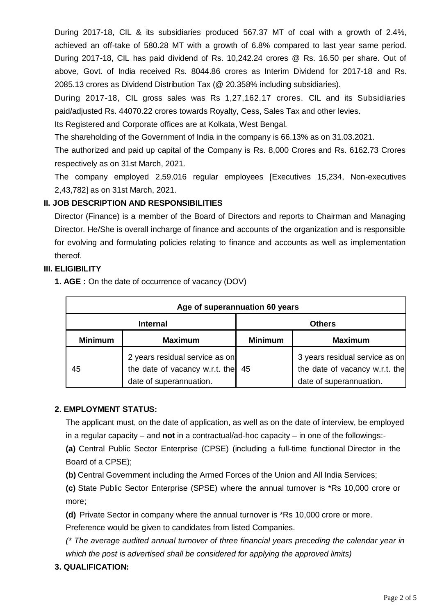During 2017-18, CIL & its subsidiaries produced 567.37 MT of coal with a growth of 2.4%, achieved an off-take of 580.28 MT with a growth of 6.8% compared to last year same period. During 2017-18, CIL has paid dividend of Rs. 10,242.24 crores @ Rs. 16.50 per share. Out of above, Govt. of India received Rs. 8044.86 crores as Interim Dividend for 2017-18 and Rs. 2085.13 crores as Dividend Distribution Tax (@ 20.358% including subsidiaries).

During 2017-18, CIL gross sales was Rs 1,27,162.17 crores. CIL and its Subsidiaries paid/adjusted Rs. 44070.22 crores towards Royalty, Cess, Sales Tax and other levies.

Its Registered and Corporate offices are at Kolkata, West Bengal.

The shareholding of the Government of India in the company is 66.13% as on 31.03.2021.

The authorized and paid up capital of the Company is Rs. 8,000 Crores and Rs. 6162.73 Crores respectively as on 31st March, 2021.

The company employed 2,59,016 regular employees [Executives 15,234, Non-executives 2,43,782] as on 31st March, 2021.

## **II. JOB DESCRIPTION AND RESPONSIBILITIES**

Director (Finance) is a member of the Board of Directors and reports to Chairman and Managing Director. He/She is overall incharge of finance and accounts of the organization and is responsible for evolving and formulating policies relating to finance and accounts as well as implementation thereof.

## **III. ELIGIBILITY**

|  |  |  |  |  | <b>1. AGE:</b> On the date of occurrence of vacancy (DOV) |  |  |
|--|--|--|--|--|-----------------------------------------------------------|--|--|
|--|--|--|--|--|-----------------------------------------------------------|--|--|

| Age of superannuation 60 years |                                                                                             |                |                                                                                             |  |  |  |  |  |  |
|--------------------------------|---------------------------------------------------------------------------------------------|----------------|---------------------------------------------------------------------------------------------|--|--|--|--|--|--|
|                                | <b>Internal</b>                                                                             | <b>Others</b>  |                                                                                             |  |  |  |  |  |  |
| <b>Minimum</b>                 | <b>Maximum</b>                                                                              | <b>Minimum</b> | <b>Maximum</b>                                                                              |  |  |  |  |  |  |
| 45                             | 2 years residual service as on<br>the date of vacancy w.r.t. the<br>date of superannuation. | 45             | 3 years residual service as on<br>the date of vacancy w.r.t. the<br>date of superannuation. |  |  |  |  |  |  |

### **2. EMPLOYMENT STATUS:**

The applicant must, on the date of application, as well as on the date of interview, be employed in a regular capacity – and **not** in a contractual/ad-hoc capacity – in one of the followings:-

**(a)** Central Public Sector Enterprise (CPSE) (including a full-time functional Director in the Board of a CPSE);

**(b)** Central Government including the Armed Forces of the Union and All India Services;

**(c)** State Public Sector Enterprise (SPSE) where the annual turnover is \*Rs 10,000 crore or more;

**(d)** Private Sector in company where the annual turnover is \*Rs 10,000 crore or more.

Preference would be given to candidates from listed Companies.

*(\* The average audited annual turnover of three financial years preceding the calendar year in which the post is advertised shall be considered for applying the approved limits)*

**3. QUALIFICATION:**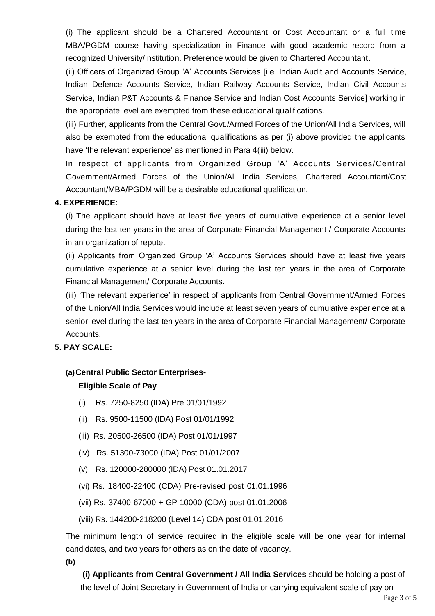(i) The applicant should be a Chartered Accountant or Cost Accountant or a full time MBA/PGDM course having specialization in Finance with good academic record from a recognized University/Institution. Preference would be given to Chartered Accountant.

(ii) Officers of Organized Group 'A' Accounts Services [i.e. Indian Audit and Accounts Service, Indian Defence Accounts Service, Indian Railway Accounts Service, Indian Civil Accounts Service, Indian P&T Accounts & Finance Service and Indian Cost Accounts Service] working in the appropriate level are exempted from these educational qualifications.

(iii) Further, applicants from the Central Govt./Armed Forces of the Union/All India Services, will also be exempted from the educational qualifications as per (i) above provided the applicants have 'the relevant experience' as mentioned in Para 4(iii) below.

In respect of applicants from Organized Group 'A' Accounts Services/Central Government/Armed Forces of the Union/All India Services, Chartered Accountant/Cost Accountant/MBA/PGDM will be a desirable educational qualification.

#### **4. EXPERIENCE:**

(i) The applicant should have at least five years of cumulative experience at a senior level during the last ten years in the area of Corporate Financial Management / Corporate Accounts in an organization of repute.

(ii) Applicants from Organized Group 'A' Accounts Services should have at least five years cumulative experience at a senior level during the last ten years in the area of Corporate Financial Management/ Corporate Accounts.

(iii) 'The relevant experience' in respect of applicants from Central Government/Armed Forces of the Union/All India Services would include at least seven years of cumulative experience at a senior level during the last ten years in the area of Corporate Financial Management/ Corporate Accounts.

#### **5. PAY SCALE:**

#### **(a)Central Public Sector Enterprises-**

#### **Eligible Scale of Pay**

- (i) Rs. 7250-8250 (IDA) Pre 01/01/1992
- (ii) Rs. 9500-11500 (IDA) Post 01/01/1992
- (iii) Rs. 20500-26500 (IDA) Post 01/01/1997
- (iv) Rs. 51300-73000 (IDA) Post 01/01/2007
- (v) Rs. 120000-280000 (IDA) Post 01.01.2017
- (vi) Rs. 18400-22400 (CDA) Pre-revised post 01.01.1996
- (vii) Rs. 37400-67000 + GP 10000 (CDA) post 01.01.2006
- (viii) Rs. 144200-218200 (Level 14) CDA post 01.01.2016

The minimum length of service required in the eligible scale will be one year for internal candidates, and two years for others as on the date of vacancy.

**(b)**

**(i) Applicants from Central Government / All India Services** should be holding a post of the level of Joint Secretary in Government of India or carrying equivalent scale of pay on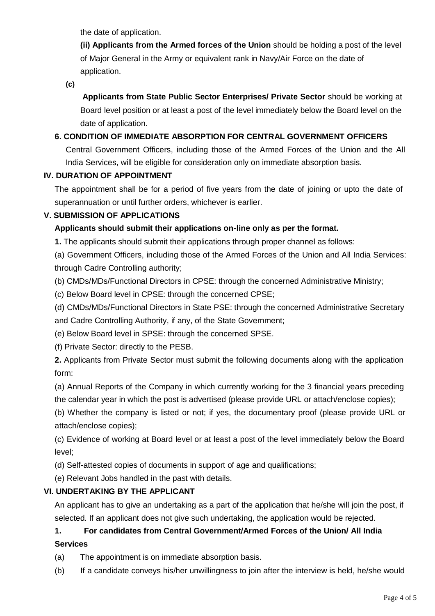the date of application.

**(ii) Applicants from the Armed forces of the Union** should be holding a post of the level of Major General in the Army or equivalent rank in Navy/Air Force on the date of application.

**(c)**

**Applicants from State Public Sector Enterprises/ Private Sector** should be working at Board level position or at least a post of the level immediately below the Board level on the date of application.

## **6. CONDITION OF IMMEDIATE ABSORPTION FOR CENTRAL GOVERNMENT OFFICERS**

Central Government Officers, including those of the Armed Forces of the Union and the All India Services, will be eligible for consideration only on immediate absorption basis.

### **IV. DURATION OF APPOINTMENT**

The appointment shall be for a period of five years from the date of joining or upto the date of superannuation or until further orders, whichever is earlier.

## **V. SUBMISSION OF APPLICATIONS**

## **Applicants should submit their applications on-line only as per the format.**

**1.** The applicants should submit their applications through proper channel as follows:

(a) Government Officers, including those of the Armed Forces of the Union and All India Services: through Cadre Controlling authority;

(b) CMDs/MDs/Functional Directors in CPSE: through the concerned Administrative Ministry;

(c) Below Board level in CPSE: through the concerned CPSE;

(d) CMDs/MDs/Functional Directors in State PSE: through the concerned Administrative Secretary and Cadre Controlling Authority, if any, of the State Government;

(e) Below Board level in SPSE: through the concerned SPSE.

(f) Private Sector: directly to the PESB.

**2.** Applicants from Private Sector must submit the following documents along with the application form:

(a) Annual Reports of the Company in which currently working for the 3 financial years preceding the calendar year in which the post is advertised (please provide URL or attach/enclose copies);

(b) Whether the company is listed or not; if yes, the documentary proof (please provide URL or attach/enclose copies);

(c) Evidence of working at Board level or at least a post of the level immediately below the Board level;

(d) Self-attested copies of documents in support of age and qualifications;

(e) Relevant Jobs handled in the past with details.

### **VI. UNDERTAKING BY THE APPLICANT**

An applicant has to give an undertaking as a part of the application that he/she will join the post, if selected. If an applicant does not give such undertaking, the application would be rejected.

# **1. For candidates from Central Government/Armed Forces of the Union/ All India Services**

(a) The appointment is on immediate absorption basis.

(b) If a candidate conveys his/her unwillingness to join after the interview is held, he/she would